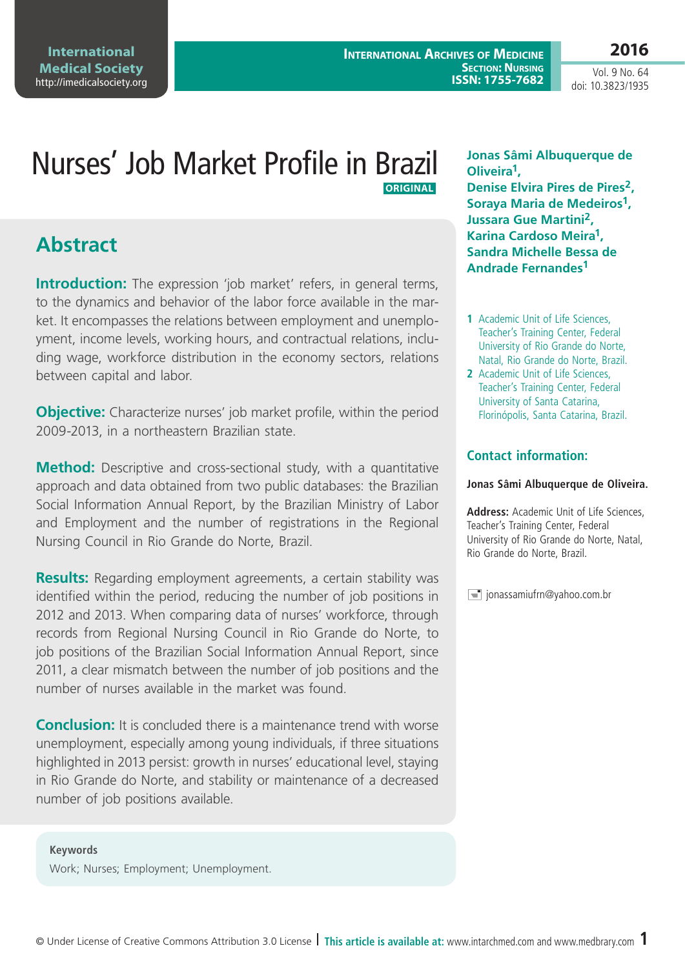**2016** Vol. 9 No. 64

doi: 10.3823/1935

# Nurses' Job Market Profile in Brazil  **Original**

# **Abstract**

**Introduction:** The expression 'job market' refers, in general terms, to the dynamics and behavior of the labor force available in the market. It encompasses the relations between employment and unemployment, income levels, working hours, and contractual relations, including wage, workforce distribution in the economy sectors, relations between capital and labor.

**Objective:** Characterize nurses' job market profile, within the period 2009-2013, in a northeastern Brazilian state.

**Method:** Descriptive and cross-sectional study, with a quantitative approach and data obtained from two public databases: the Brazilian Social Information Annual Report, by the Brazilian Ministry of Labor and Employment and the number of registrations in the Regional Nursing Council in Rio Grande do Norte, Brazil.

**Results:** Regarding employment agreements, a certain stability was identified within the period, reducing the number of job positions in 2012 and 2013. When comparing data of nurses' workforce, through records from Regional Nursing Council in Rio Grande do Norte, to job positions of the Brazilian Social Information Annual Report, since 2011, a clear mismatch between the number of job positions and the number of nurses available in the market was found.

**Conclusion:** It is concluded there is a maintenance trend with worse unemployment, especially among young individuals, if three situations highlighted in 2013 persist: growth in nurses' educational level, staying in Rio Grande do Norte, and stability or maintenance of a decreased number of job positions available.

**Jonas Sâmi Albuquerque de Oliveira1, Denise Elvira Pires de Pires2, Soraya Maria de Medeiros1, Jussara Gue Martini2, Karina Cardoso Meira1, Sandra Michelle Bessa de Andrade Fernandes1**

- **1** Academic Unit of Life Sciences, Teacher's Training Center, Federal University of Rio Grande do Norte, Natal, Rio Grande do Norte, Brazil.
- **2** Academic Unit of Life Sciences, Teacher's Training Center, Federal University of Santa Catarina, Florinópolis, Santa Catarina, Brazil.

### **Contact information:**

#### **Jonas Sâmi Albuquerque de Oliveira.**

**Address:** Academic Unit of Life Sciences, Teacher's Training Center, Federal University of Rio Grande do Norte, Natal, Rio Grande do Norte, Brazil.

 $\equiv$  jonassamiufrn@yahoo.com.br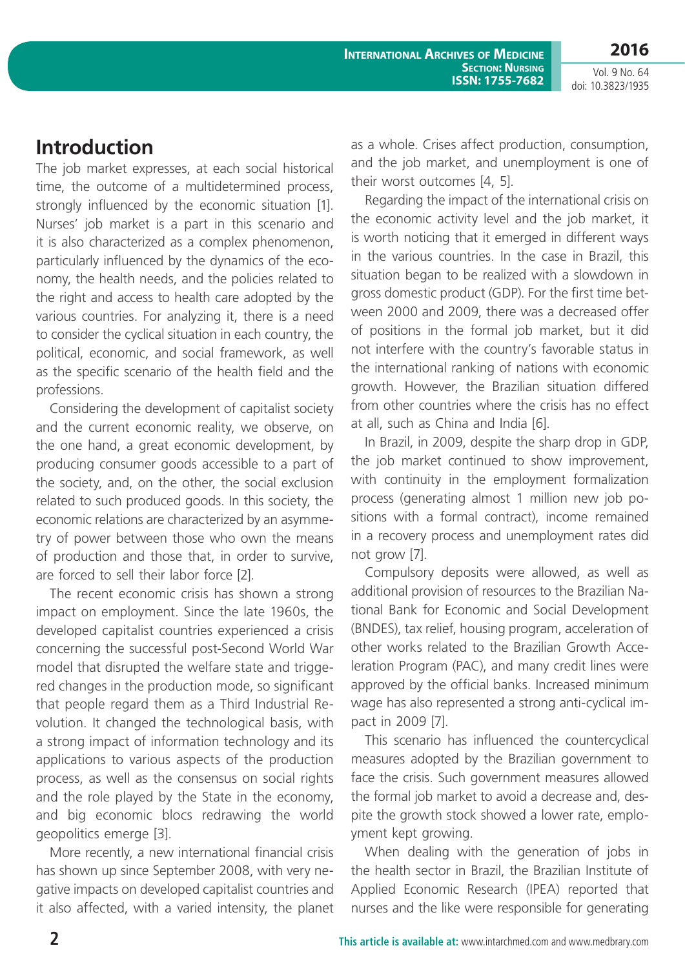### doi: 10.3823/1935

## **Introduction**

The job market expresses, at each social historical time, the outcome of a multidetermined process, strongly influenced by the economic situation [1]. Nurses' job market is a part in this scenario and it is also characterized as a complex phenomenon, particularly influenced by the dynamics of the economy, the health needs, and the policies related to the right and access to health care adopted by the various countries. For analyzing it, there is a need to consider the cyclical situation in each country, the political, economic, and social framework, as well as the specific scenario of the health field and the professions.

Considering the development of capitalist society and the current economic reality, we observe, on the one hand, a great economic development, by producing consumer goods accessible to a part of the society, and, on the other, the social exclusion related to such produced goods. In this society, the economic relations are characterized by an asymmetry of power between those who own the means of production and those that, in order to survive, are forced to sell their labor force [2].

The recent economic crisis has shown a strong impact on employment. Since the late 1960s, the developed capitalist countries experienced a crisis concerning the successful post-Second World War model that disrupted the welfare state and triggered changes in the production mode, so significant that people regard them as a Third Industrial Revolution. It changed the technological basis, with a strong impact of information technology and its applications to various aspects of the production process, as well as the consensus on social rights and the role played by the State in the economy, and big economic blocs redrawing the world geopolitics emerge [3].

More recently, a new international financial crisis has shown up since September 2008, with very negative impacts on developed capitalist countries and it also affected, with a varied intensity, the planet as a whole. Crises affect production, consumption, and the job market, and unemployment is one of their worst outcomes [4, 5].

Regarding the impact of the international crisis on the economic activity level and the job market, it is worth noticing that it emerged in different ways in the various countries. In the case in Brazil, this situation began to be realized with a slowdown in gross domestic product (GDP). For the first time between 2000 and 2009, there was a decreased offer of positions in the formal job market, but it did not interfere with the country's favorable status in the international ranking of nations with economic growth. However, the Brazilian situation differed from other countries where the crisis has no effect at all, such as China and India [6].

In Brazil, in 2009, despite the sharp drop in GDP, the job market continued to show improvement, with continuity in the employment formalization process (generating almost 1 million new job positions with a formal contract), income remained in a recovery process and unemployment rates did not grow [7].

Compulsory deposits were allowed, as well as additional provision of resources to the Brazilian National Bank for Economic and Social Development (BNDES), tax relief, housing program, acceleration of other works related to the Brazilian Growth Acceleration Program (PAC), and many credit lines were approved by the official banks. Increased minimum wage has also represented a strong anti-cyclical impact in 2009 [7].

This scenario has influenced the countercyclical measures adopted by the Brazilian government to face the crisis. Such government measures allowed the formal job market to avoid a decrease and, despite the growth stock showed a lower rate, employment kept growing.

When dealing with the generation of jobs in the health sector in Brazil, the Brazilian Institute of Applied Economic Research (IPEA) reported that nurses and the like were responsible for generating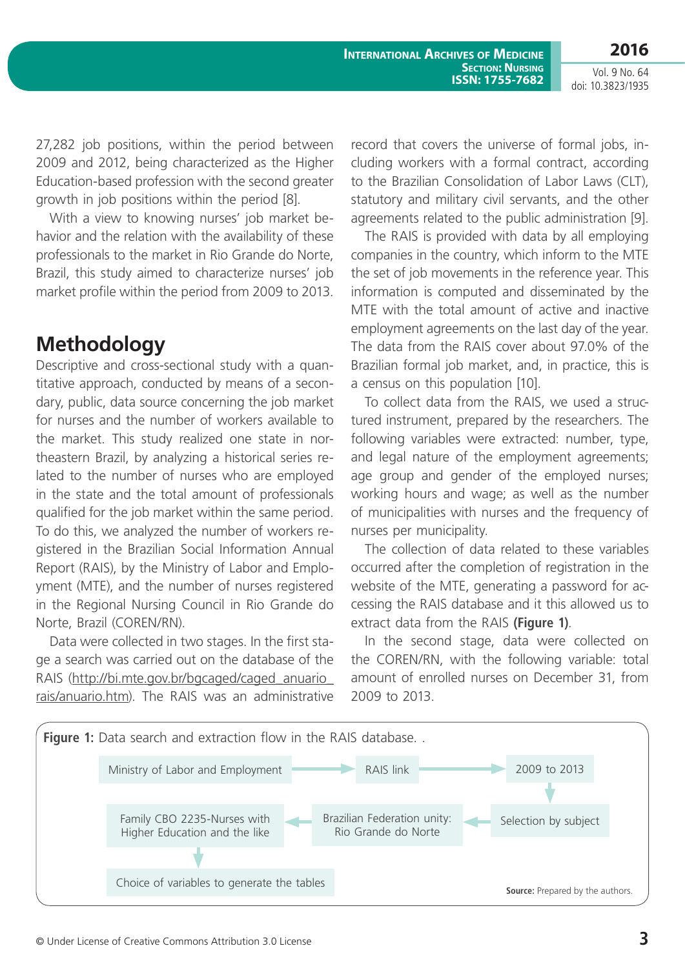27,282 job positions, within the period between 2009 and 2012, being characterized as the Higher Education-based profession with the second greater growth in job positions within the period [8].

With a view to knowing nurses' job market behavior and the relation with the availability of these professionals to the market in Rio Grande do Norte, Brazil, this study aimed to characterize nurses' job market profile within the period from 2009 to 2013.

## **Methodology**

Descriptive and cross-sectional study with a quantitative approach, conducted by means of a secondary, public, data source concerning the job market for nurses and the number of workers available to the market. This study realized one state in northeastern Brazil, by analyzing a historical series related to the number of nurses who are employed in the state and the total amount of professionals qualified for the job market within the same period. To do this, we analyzed the number of workers registered in the Brazilian Social Information Annual Report (RAIS), by the Ministry of Labor and Employment (MTE), and the number of nurses registered in the Regional Nursing Council in Rio Grande do Norte, Brazil (COREN/RN).

Data were collected in two stages. In the first stage a search was carried out on the database of the RAIS ([http://bi.mte.gov.br/bgcaged/caged\\_anuario\\_](http://bi.mte.gov.br/bgcaged/caged_anuario_rais/anuario.htm) [rais/anuario.htm\)](http://bi.mte.gov.br/bgcaged/caged_anuario_rais/anuario.htm). The RAIS was an administrative

record that covers the universe of formal jobs, including workers with a formal contract, according to the Brazilian Consolidation of Labor Laws (CLT), statutory and military civil servants, and the other agreements related to the public administration [9].

The RAIS is provided with data by all employing companies in the country, which inform to the MTE the set of job movements in the reference year. This information is computed and disseminated by the MTE with the total amount of active and inactive employment agreements on the last day of the year. The data from the RAIS cover about 97.0% of the Brazilian formal job market, and, in practice, this is a census on this population [10].

To collect data from the RAIS, we used a structured instrument, prepared by the researchers. The following variables were extracted: number, type, and legal nature of the employment agreements; age group and gender of the employed nurses; working hours and wage; as well as the number of municipalities with nurses and the frequency of nurses per municipality.

The collection of data related to these variables occurred after the completion of registration in the website of the MTE, generating a password for accessing the RAIS database and it this allowed us to extract data from the RAIS **(Figure 1)**.

In the second stage, data were collected on the COREN/RN, with the following variable: total amount of enrolled nurses on December 31, from 2009 to 2013.

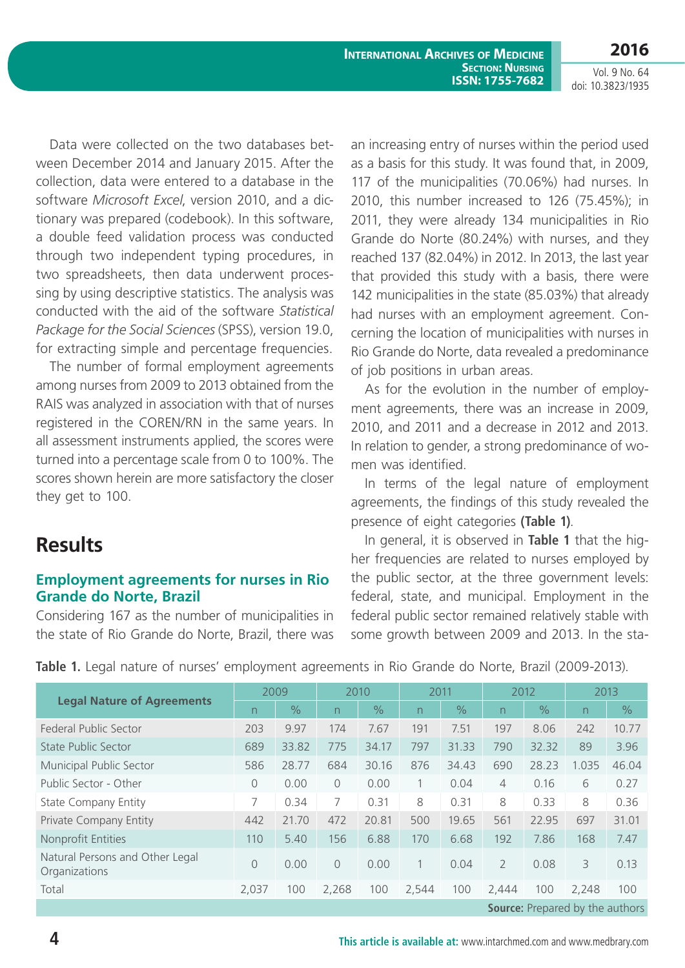Data were collected on the two databases between December 2014 and January 2015. After the collection, data were entered to a database in the software *Microsoft Excel*, version 2010, and a dictionary was prepared (codebook). In this software, a double feed validation process was conducted through two independent typing procedures, in two spreadsheets, then data underwent processing by using descriptive statistics. The analysis was conducted with the aid of the software *Statistical Package for the Social Sciences* (SPSS), version 19.0, for extracting simple and percentage frequencies.

The number of formal employment agreements among nurses from 2009 to 2013 obtained from the RAIS was analyzed in association with that of nurses registered in the COREN/RN in the same years. In all assessment instruments applied, the scores were turned into a percentage scale from 0 to 100%. The scores shown herein are more satisfactory the closer they get to 100.

### **Results**

### **Employment agreements for nurses in Rio Grande do Norte, Brazil**

Considering 167 as the number of municipalities in the state of Rio Grande do Norte, Brazil, there was an increasing entry of nurses within the period used as a basis for this study. It was found that, in 2009, 117 of the municipalities (70.06%) had nurses. In 2010, this number increased to 126 (75.45%); in 2011, they were already 134 municipalities in Rio Grande do Norte (80.24%) with nurses, and they reached 137 (82.04%) in 2012. In 2013, the last year that provided this study with a basis, there were 142 municipalities in the state (85.03%) that already had nurses with an employment agreement. Concerning the location of municipalities with nurses in Rio Grande do Norte, data revealed a predominance of job positions in urban areas.

As for the evolution in the number of employment agreements, there was an increase in 2009, 2010, and 2011 and a decrease in 2012 and 2013. In relation to gender, a strong predominance of women was identified.

In terms of the legal nature of employment agreements, the findings of this study revealed the presence of eight categories **(Table 1)**.

In general, it is observed in **Table 1** that the higher frequencies are related to nurses employed by the public sector, at the three government levels: federal, state, and municipal. Employment in the federal public sector remained relatively stable with some growth between 2009 and 2013. In the sta-

| <b>Legal Nature of Agreements</b>                | 2009  |               | 2010      |               | 2011  |               | 2012                     |               | 2013                     |               |
|--------------------------------------------------|-------|---------------|-----------|---------------|-------|---------------|--------------------------|---------------|--------------------------|---------------|
|                                                  | n     | $\frac{1}{2}$ | n         | $\frac{0}{0}$ | n.    | $\frac{1}{2}$ | n                        | $\frac{1}{2}$ | $\overline{\phantom{0}}$ | $\frac{1}{2}$ |
| Federal Public Sector                            | 203   | 9.97          | 174       | 7.67          | 191   | 7.51          | 197                      | 8.06          | 242                      | 10.77         |
| <b>State Public Sector</b>                       | 689   | 33.82         | 775       | 34.17         | 797   | 31.33         | 790                      | 32.32         | 89                       | 3.96          |
| Municipal Public Sector                          | 586   | 28.77         | 684       | 30.16         | 876   | 34.43         | 690                      | 28.23         | 1.035                    | 46.04         |
| Public Sector - Other                            | 0     | 0.00          | $\bigcap$ | 0.00          |       | 0.04          | $\overline{4}$           | 0.16          | 6                        | 0.27          |
| <b>State Company Entity</b>                      | 7     | 0.34          | 7         | 0.31          | 8     | 0.31          | 8                        | 0.33          | 8                        | 0.36          |
| Private Company Entity                           | 442   | 21.70         | 472       | 20.81         | 500   | 19.65         | 561                      | 22.95         | 697                      | 31.01         |
| Nonprofit Entities                               | 110   | 5.40          | 156       | 6.88          | 170   | 6.68          | 192                      | 7.86          | 168                      | 7.47          |
| Natural Persons and Other Legal<br>Organizations | 0     | 0.00          | $\bigcap$ | 0.00          |       | 0.04          | $\overline{\phantom{a}}$ | 0.08          | 3                        | 0.13          |
| Total                                            | 2,037 | 100           | 2,268     | 100           | 2,544 | 100           | 2,444                    | 100           | 2,248                    | 100           |
| <b>Source:</b> Prepared by the authors           |       |               |           |               |       |               |                          |               |                          |               |

**Table 1.** Legal nature of nurses' employment agreements in Rio Grande do Norte, Brazil (2009-2013).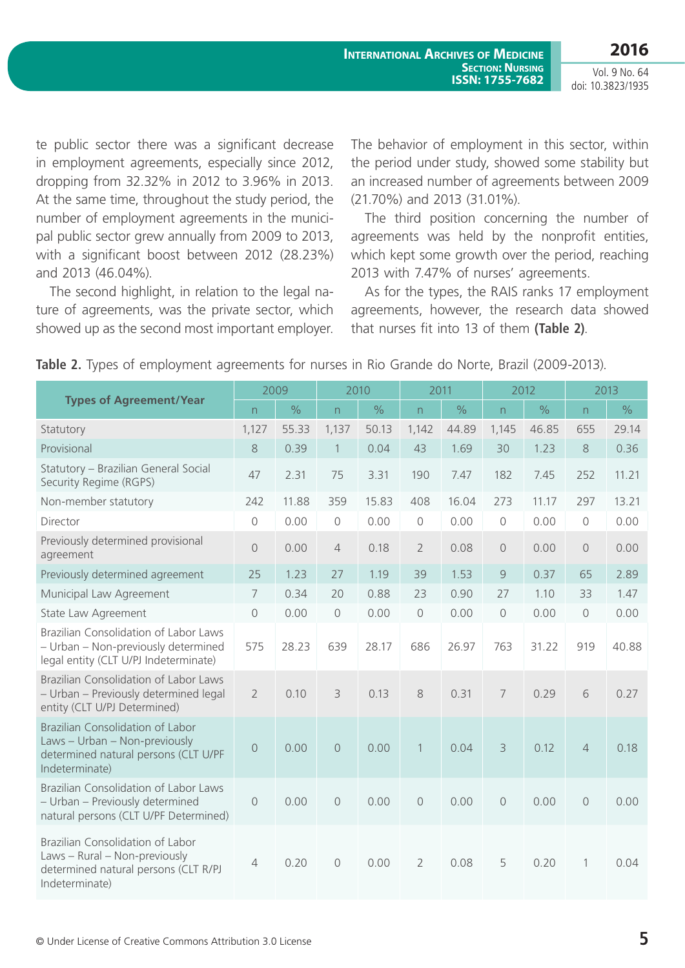te public sector there was a significant decrease in employment agreements, especially since 2012, dropping from 32.32% in 2012 to 3.96% in 2013. At the same time, throughout the study period, the number of employment agreements in the municipal public sector grew annually from 2009 to 2013, with a significant boost between 2012 (28.23%) and 2013 (46.04%).

The second highlight, in relation to the legal nature of agreements, was the private sector, which showed up as the second most important employer. The behavior of employment in this sector, within the period under study, showed some stability but an increased number of agreements between 2009 (21.70%) and 2013 (31.01%).

The third position concerning the number of agreements was held by the nonprofit entities, which kept some growth over the period, reaching 2013 with 7.47% of nurses' agreements.

As for the types, the RAIS ranks 17 employment agreements, however, the research data showed that nurses fit into 13 of them **(Table 2)**.

|                                                                                                                             |                | 2009          | 2010                |               | 2011                |               | 2012           |               | 2013           |               |
|-----------------------------------------------------------------------------------------------------------------------------|----------------|---------------|---------------------|---------------|---------------------|---------------|----------------|---------------|----------------|---------------|
| <b>Types of Agreement/Year</b>                                                                                              | n              | $\frac{1}{2}$ | n                   | $\frac{1}{2}$ | n                   | $\frac{1}{2}$ | n              | $\frac{0}{0}$ | n              | $\frac{1}{2}$ |
| Statutory                                                                                                                   | 1,127          | 55.33         | 1,137               | 50.13         | 1,142               | 44.89         | 1,145          | 46.85         | 655            | 29.14         |
| Provisional                                                                                                                 | 8              | 0.39          | $\mathbf{1}$        | 0.04          | 43                  | 1.69          | 30             | 1.23          | 8              | 0.36          |
| Statutory - Brazilian General Social<br>Security Regime (RGPS)                                                              | 47             | 2.31          | 75                  | 3.31          | 190                 | 7.47          | 182            | 7.45          | 252            | 11.21         |
| Non-member statutory                                                                                                        | 242            | 11.88         | 359                 | 15.83         | 408                 | 16.04         | 273            | 11.17         | 297            | 13.21         |
| Director                                                                                                                    | $\mathbf 0$    | 0.00          | $\bigcirc$          | 0.00          | $\bigcirc$          | 0.00          | $\bigcirc$     | 0.00          | $\mathbf 0$    | 0.00          |
| Previously determined provisional<br>agreement                                                                              | $\overline{0}$ | 0.00          | $\overline{4}$      | 0.18          | $\overline{2}$      | 0.08          | $\overline{0}$ | 0.00          | $\circ$        | 0.00          |
| Previously determined agreement                                                                                             | 25             | 1.23          | 27                  | 1.19          | 39                  | 1.53          | $\overline{9}$ | 0.37          | 65             | 2.89          |
| Municipal Law Agreement                                                                                                     | 7              | 0.34          | 20                  | 0.88          | 23                  | 0.90          | 27             | 1.10          | 33             | 1.47          |
| State Law Agreement                                                                                                         | $\mathsf{O}$   | 0.00          | $\mathsf{O}$        | 0.00          | $\circ$             | 0.00          | $\circ$        | 0.00          | $\overline{0}$ | 0.00          |
| Brazilian Consolidation of Labor Laws<br>- Urban - Non-previously determined<br>legal entity (CLT U/PJ Indeterminate)       | 575            | 28.23         | 639                 | 28.17         | 686                 | 26.97         | 763            | 31.22         | 919            | 40.88         |
| Brazilian Consolidation of Labor Laws<br>- Urban - Previously determined legal<br>entity (CLT U/PJ Determined)              | $\overline{2}$ | 0.10          | 3                   | 0.13          | 8                   | 0.31          | 7              | 0.29          | 6              | 0.27          |
| Brazilian Consolidation of Labor<br>Laws - Urban - Non-previously<br>determined natural persons (CLT U/PF<br>Indeterminate) | $\overline{O}$ | 0.00          | $\overline{O}$      | 0.00          | $\mathbf{1}$        | 0.04          | 3              | 0.12          | $\overline{4}$ | 0.18          |
| Brazilian Consolidation of Labor Laws<br>- Urban - Previously determined<br>natural persons (CLT U/PF Determined)           | $\bigcirc$     | 0.00          | $\circlearrowright$ | 0.00          | $\circlearrowright$ | 0.00          | $\bigcirc$     | 0.00          | $\circledcirc$ | 0.00          |
| Brazilian Consolidation of Labor<br>Laws - Rural - Non-previously<br>determined natural persons (CLT R/PJ<br>Indeterminate) | $\overline{4}$ | 0.20          | $\Omega$            | 0.00          | $\overline{2}$      | 0.08          | 5              | 0.20          | 1              | 0.04          |

**Table 2.** Types of employment agreements for nurses in Rio Grande do Norte, Brazil (2009-2013).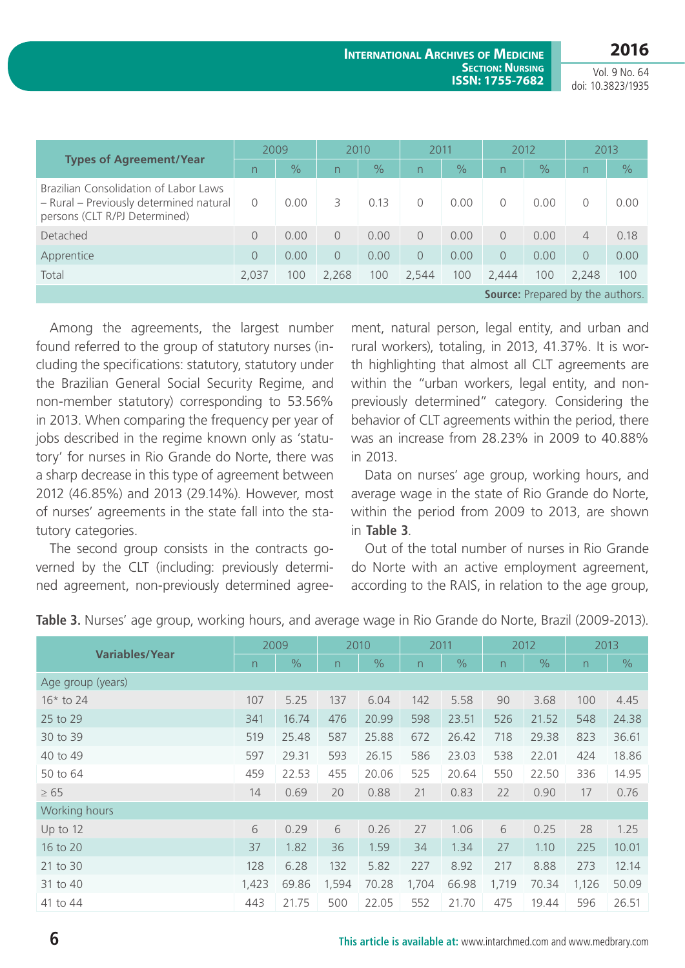**2016**

**International Archives of Medicine SECTION: NURSING ISSN: 1755-7682**

Vol. 9 No. 64 doi: 10.3823/1935

| <b>Types of Agreement/Year</b>                                                                                    | 2009                     |               | 2010      |               | 2011      |               | 2012     |               | 2013           |               |
|-------------------------------------------------------------------------------------------------------------------|--------------------------|---------------|-----------|---------------|-----------|---------------|----------|---------------|----------------|---------------|
|                                                                                                                   | $\overline{\phantom{0}}$ | $\frac{1}{2}$ | n         | $\frac{1}{2}$ | n.        | $\frac{1}{2}$ | n        | $\frac{1}{2}$ | n.             | $\frac{9}{6}$ |
| Brazilian Consolidation of Labor Laws<br>- Rural - Previously determined natural<br>persons (CLT R/PJ Determined) | 0                        | 0.00          | 3         | 0.13          | $\bigcap$ | 0.00          | $\Omega$ | 0.00          | 0              | 0.00          |
| Detached                                                                                                          | $\Omega$                 | 0.00          | $\bigcap$ | 0.00          | $\bigcap$ | 0.00          | $\Omega$ | 0.00          | 4              | 0.18          |
| Apprentice                                                                                                        | $\Omega$                 | 0.00          | $\Omega$  | 0.00          | $\Omega$  | 0.00          | $\Omega$ | 0.00          | $\overline{0}$ | 0.00          |
| Total                                                                                                             | 2,037                    | 100           | 2,268     | 100           | 2,544     | 100           | 2,444    | 100           | 2.248          | 100           |
| <b>Source:</b> Prepared by the authors.                                                                           |                          |               |           |               |           |               |          |               |                |               |

Among the agreements, the largest number found referred to the group of statutory nurses (including the specifications: statutory, statutory under the Brazilian General Social Security Regime, and non-member statutory) corresponding to 53.56% in 2013. When comparing the frequency per year of jobs described in the regime known only as 'statutory' for nurses in Rio Grande do Norte, there was a sharp decrease in this type of agreement between 2012 (46.85%) and 2013 (29.14%). However, most of nurses' agreements in the state fall into the statutory categories.

The second group consists in the contracts governed by the CLT (including: previously determined agreement, non-previously determined agreement, natural person, legal entity, and urban and rural workers), totaling, in 2013, 41.37%. It is worth highlighting that almost all CLT agreements are within the "urban workers, legal entity, and nonpreviously determined" category. Considering the behavior of CLT agreements within the period, there was an increase from 28.23% in 2009 to 40.88% in 2013.

Data on nurses' age group, working hours, and average wage in the state of Rio Grande do Norte, within the period from 2009 to 2013, are shown in **Table 3**.

Out of the total number of nurses in Rio Grande do Norte with an active employment agreement, according to the RAIS, in relation to the age group,

| <b>Variables/Year</b> | 2009           |               | 2010           |               | 2011  |               | 2012           |               | 2013  |               |
|-----------------------|----------------|---------------|----------------|---------------|-------|---------------|----------------|---------------|-------|---------------|
|                       | $\overline{n}$ | $\frac{0}{0}$ | $\overline{n}$ | $\frac{0}{0}$ | n     | $\frac{1}{2}$ | $\overline{n}$ | $\frac{0}{0}$ | n     | $\frac{0}{0}$ |
| Age group (years)     |                |               |                |               |       |               |                |               |       |               |
| $16*$ to 24           | 107            | 5.25          | 137            | 6.04          | 142   | 5.58          | 90             | 3.68          | 100   | 4.45          |
| 25 to 29              | 341            | 16.74         | 476            | 20.99         | 598   | 23.51         | 526            | 21.52         | 548   | 24.38         |
| 30 to 39              | 519            | 25.48         | 587            | 25.88         | 672   | 26.42         | 718            | 29.38         | 823   | 36.61         |
| 40 to 49              | 597            | 29.31         | 593            | 26.15         | 586   | 23.03         | 538            | 22.01         | 424   | 18.86         |
| 50 to 64              | 459            | 22.53         | 455            | 20.06         | 525   | 20.64         | 550            | 22.50         | 336   | 14.95         |
| $\geq 65$             | 14             | 0.69          | 20             | 0.88          | 21    | 0.83          | 22             | 0.90          | 17    | 0.76          |
| Working hours         |                |               |                |               |       |               |                |               |       |               |
| Up to 12              | 6              | 0.29          | 6              | 0.26          | 27    | 1.06          | 6              | 0.25          | 28    | 1.25          |
| 16 to 20              | 37             | 1.82          | 36             | 1.59          | 34    | 1.34          | 27             | 1.10          | 225   | 10.01         |
| 21 to 30              | 128            | 6.28          | 132            | 5.82          | 227   | 8.92          | 217            | 8.88          | 273   | 12.14         |
| 31 to 40              | 1,423          | 69.86         | 1,594          | 70.28         | 1,704 | 66.98         | 1,719          | 70.34         | 1,126 | 50.09         |
| 41 to 44              | 443            | 21.75         | 500            | 22.05         | 552   | 21.70         | 475            | 19.44         | 596   | 26.51         |

**Table 3.** Nurses' age group, working hours, and average wage in Rio Grande do Norte, Brazil (2009-2013).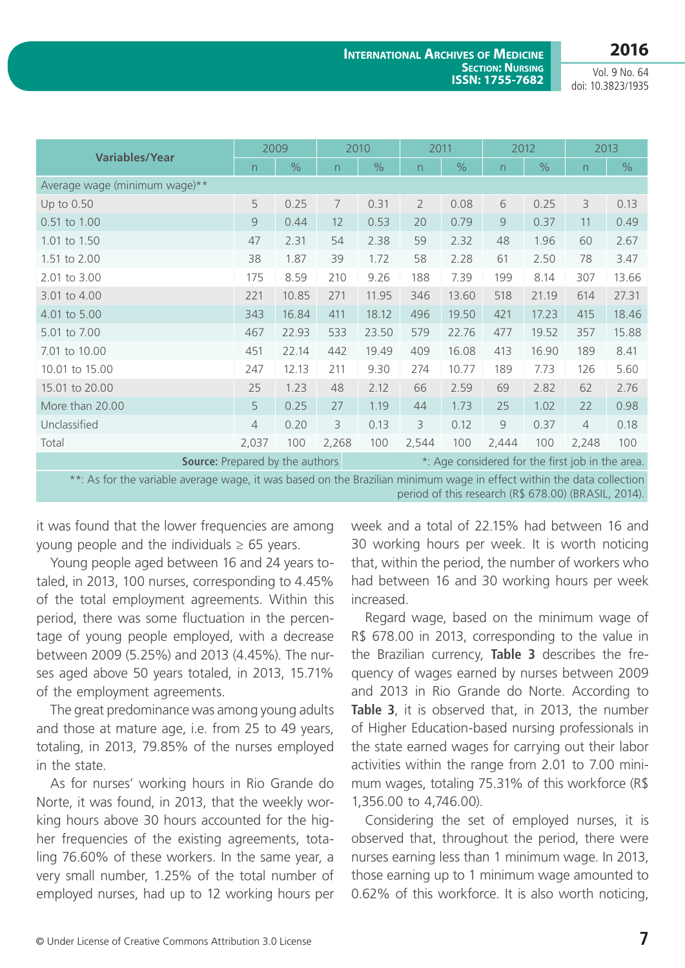| <b>Variables/Year</b>                                                                                                 | 2009           |               | 2010  |               | 2011           |               | 2012           |       | 2013           |               |
|-----------------------------------------------------------------------------------------------------------------------|----------------|---------------|-------|---------------|----------------|---------------|----------------|-------|----------------|---------------|
|                                                                                                                       | $\overline{n}$ | $\frac{0}{0}$ | n     | $\frac{0}{0}$ | n.             | $\frac{0}{0}$ | $\overline{n}$ | $\%$  | n              | $\frac{0}{0}$ |
| Average wage (minimum wage)**                                                                                         |                |               |       |               |                |               |                |       |                |               |
| Up to 0.50                                                                                                            | 5              | 0.25          | 7     | 0.31          | $\overline{2}$ | 0.08          | 6              | 0.25  | 3              | 0.13          |
| 0.51 to 1.00                                                                                                          | $\overline{9}$ | 0.44          | 12    | 0.53          | 20             | 0.79          | $\overline{9}$ | 0.37  | 11             | 0.49          |
| 1.01 to 1.50                                                                                                          | 47             | 2.31          | 54    | 2.38          | 59             | 2.32          | 48             | 1.96  | 60             | 2.67          |
| 1.51 to 2.00                                                                                                          | 38             | 1.87          | 39    | 1.72          | 58             | 2.28          | 61             | 2.50  | 78             | 3.47          |
| 2.01 to 3.00                                                                                                          | 175            | 8.59          | 210   | 9.26          | 188            | 7.39          | 199            | 8.14  | 307            | 13.66         |
| 3.01 to 4.00                                                                                                          | 221            | 10.85         | 271   | 11.95         | 346            | 13.60         | 518            | 21.19 | 614            | 27.31         |
| 4.01 to 5.00                                                                                                          | 343            | 16.84         | 411   | 18.12         | 496            | 19.50         | 421            | 17.23 | 415            | 18.46         |
| 5.01 to 7.00                                                                                                          | 467            | 22.93         | 533   | 23.50         | 579            | 22.76         | 477            | 19.52 | 357            | 15.88         |
| 7.01 to 10.00                                                                                                         | 451            | 22.14         | 442   | 19.49         | 409            | 16.08         | 413            | 16.90 | 189            | 8.41          |
| 10.01 to 15.00                                                                                                        | 247            | 12.13         | 211   | 9.30          | 274            | 10.77         | 189            | 7.73  | 126            | 5.60          |
| 15.01 to 20.00                                                                                                        | 25             | 1.23          | 48    | 2.12          | 66             | 2.59          | 69             | 2.82  | 62             | 2.76          |
| More than 20.00                                                                                                       | 5              | 0.25          | 27    | 1.19          | 44             | 1.73          | 25             | 1.02  | 22             | 0.98          |
| Unclassified                                                                                                          | $\overline{4}$ | 0.20          | 3     | 0.13          | 3              | 0.12          | $\mathcal{G}$  | 0.37  | $\overline{4}$ | 0.18          |
| Total                                                                                                                 | 2,037          | 100           | 2,268 | 100           | 2,544          | 100           | 2,444          | 100   | 2,248          | 100           |
| <b>Source:</b> Prepared by the authors<br>*: Age considered for the first job in the area.                            |                |               |       |               |                |               |                |       |                |               |
| **: As for the variable average wage, it was based on the Brazilian minimum wage in effect within the data collection |                |               |       |               |                |               |                |       |                |               |

period of this research (R\$ 678.00) (BRASIL, 2014).

it was found that the lower frequencies are among young people and the individuals  $\geq$  65 years.

Young people aged between 16 and 24 years totaled, in 2013, 100 nurses, corresponding to 4.45% of the total employment agreements. Within this period, there was some fluctuation in the percentage of young people employed, with a decrease between 2009 (5.25%) and 2013 (4.45%). The nurses aged above 50 years totaled, in 2013, 15.71% of the employment agreements.

The great predominance was among young adults and those at mature age, i.e. from 25 to 49 years, totaling, in 2013, 79.85% of the nurses employed in the state.

As for nurses' working hours in Rio Grande do Norte, it was found, in 2013, that the weekly working hours above 30 hours accounted for the higher frequencies of the existing agreements, totaling 76.60% of these workers. In the same year, a very small number, 1.25% of the total number of employed nurses, had up to 12 working hours per week and a total of 22.15% had between 16 and 30 working hours per week. It is worth noticing that, within the period, the number of workers who had between 16 and 30 working hours per week increased.

Regard wage, based on the minimum wage of R\$ 678.00 in 2013, corresponding to the value in the Brazilian currency, **Table 3** describes the frequency of wages earned by nurses between 2009 and 2013 in Rio Grande do Norte. According to **Table 3**, it is observed that, in 2013, the number of Higher Education-based nursing professionals in the state earned wages for carrying out their labor activities within the range from 2.01 to 7.00 minimum wages, totaling 75.31% of this workforce (R\$ 1,356.00 to 4,746.00).

Considering the set of employed nurses, it is observed that, throughout the period, there were nurses earning less than 1 minimum wage. In 2013, those earning up to 1 minimum wage amounted to 0.62% of this workforce. It is also worth noticing,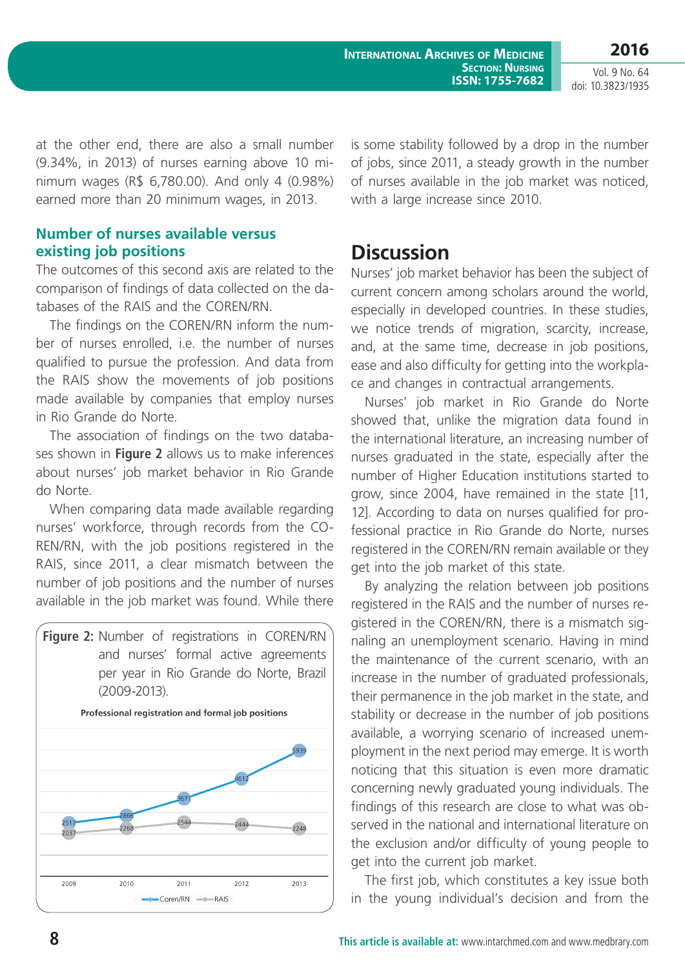**International Archives of Medicine SECTION: NURSING ISSN: 1755-7682**

**2016** Vol. 9 No. 64

doi: 10.3823/1935

at the other end, there are also a small number (9.34%, in 2013) of nurses earning above 10 minimum wages (R\$ 6,780.00). And only 4 (0.98%) earned more than 20 minimum wages, in 2013.

### **Number of nurses available versus existing job positions**

The outcomes of this second axis are related to the comparison of findings of data collected on the databases of the RAIS and the COREN/RN.

The findings on the COREN/RN inform the number of nurses enrolled, i.e. the number of nurses qualified to pursue the profession. And data from the RAIS show the movements of job positions made available by companies that employ nurses in Rio Grande do Norte.

The association of findings on the two databases shown in **Figure 2** allows us to make inferences about nurses' job market behavior in Rio Grande do Norte.

When comparing data made available regarding nurses' workforce, through records from the CO-REN/RN, with the job positions registered in the RAIS, since 2011, a clear mismatch between the number of job positions and the number of nurses available in the job market was found. While there



is some stability followed by a drop in the number of jobs, since 2011, a steady growth in the number of nurses available in the job market was noticed, with a large increase since 2010.

### **Discussion**

Nurses' job market behavior has been the subject of current concern among scholars around the world, especially in developed countries. In these studies, we notice trends of migration, scarcity, increase, and, at the same time, decrease in job positions, ease and also difficulty for getting into the workplace and changes in contractual arrangements.

Nurses' job market in Rio Grande do Norte showed that, unlike the migration data found in the international literature, an increasing number of nurses graduated in the state, especially after the number of Higher Education institutions started to grow, since 2004, have remained in the state [11, 12]. According to data on nurses qualified for professional practice in Rio Grande do Norte, nurses registered in the COREN/RN remain available or they get into the job market of this state.

By analyzing the relation between job positions registered in the RAIS and the number of nurses registered in the COREN/RN, there is a mismatch signaling an unemployment scenario. Having in mind the maintenance of the current scenario, with an increase in the number of graduated professionals, their permanence in the job market in the state, and stability or decrease in the number of job positions available, a worrying scenario of increased unemployment in the next period may emerge. It is worth noticing that this situation is even more dramatic concerning newly graduated young individuals. The findings of this research are close to what was observed in the national and international literature on the exclusion and/or difficulty of young people to get into the current job market.

The first job, which constitutes a key issue both in the young individual's decision and from the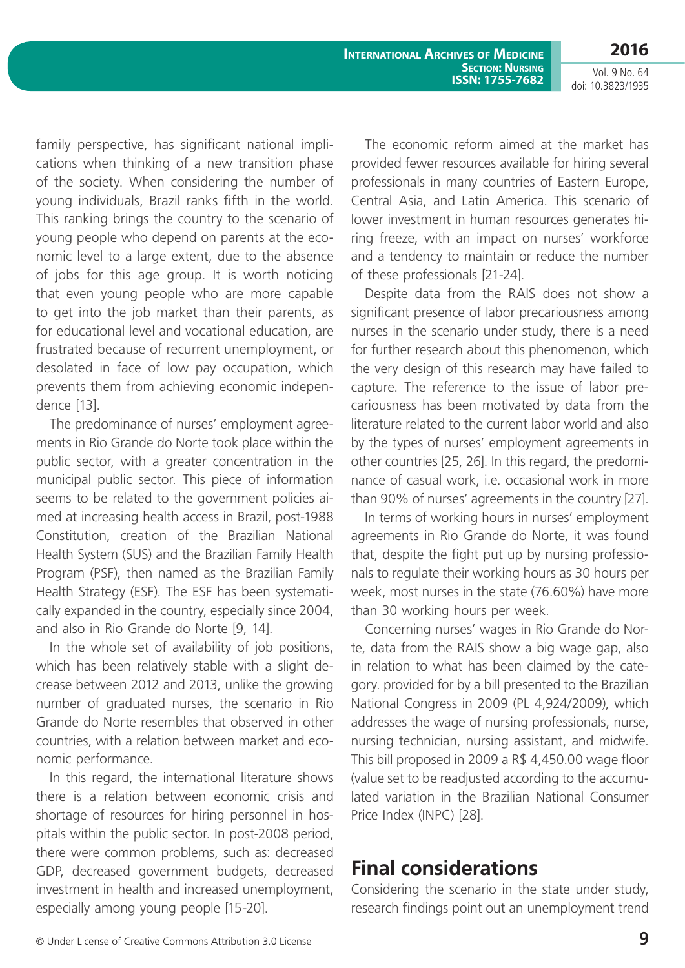**International Archives of Medicine SECTION: NURSING ISSN: 1755-7682**

**2016** Vol. 9 No. 64

doi: 10.3823/1935

family perspective, has significant national implications when thinking of a new transition phase of the society. When considering the number of young individuals, Brazil ranks fifth in the world. This ranking brings the country to the scenario of young people who depend on parents at the economic level to a large extent, due to the absence of jobs for this age group. It is worth noticing that even young people who are more capable to get into the job market than their parents, as for educational level and vocational education, are frustrated because of recurrent unemployment, or desolated in face of low pay occupation, which prevents them from achieving economic independence [13].

The predominance of nurses' employment agreements in Rio Grande do Norte took place within the public sector, with a greater concentration in the municipal public sector. This piece of information seems to be related to the government policies aimed at increasing health access in Brazil, post-1988 Constitution, creation of the Brazilian National Health System (SUS) and the Brazilian Family Health Program (PSF), then named as the Brazilian Family Health Strategy (ESF). The ESF has been systematically expanded in the country, especially since 2004, and also in Rio Grande do Norte [9, 14].

In the whole set of availability of job positions, which has been relatively stable with a slight decrease between 2012 and 2013, unlike the growing number of graduated nurses, the scenario in Rio Grande do Norte resembles that observed in other countries, with a relation between market and economic performance.

In this regard, the international literature shows there is a relation between economic crisis and shortage of resources for hiring personnel in hospitals within the public sector. In post-2008 period, there were common problems, such as: decreased GDP, decreased government budgets, decreased investment in health and increased unemployment, especially among young people [15-20].

The economic reform aimed at the market has provided fewer resources available for hiring several professionals in many countries of Eastern Europe, Central Asia, and Latin America. This scenario of lower investment in human resources generates hiring freeze, with an impact on nurses' workforce and a tendency to maintain or reduce the number of these professionals [21-24].

Despite data from the RAIS does not show a significant presence of labor precariousness among nurses in the scenario under study, there is a need for further research about this phenomenon, which the very design of this research may have failed to capture. The reference to the issue of labor precariousness has been motivated by data from the literature related to the current labor world and also by the types of nurses' employment agreements in other countries [25, 26]. In this regard, the predominance of casual work, i.e. occasional work in more than 90% of nurses' agreements in the country [27].

In terms of working hours in nurses' employment agreements in Rio Grande do Norte, it was found that, despite the fight put up by nursing professionals to regulate their working hours as 30 hours per week, most nurses in the state (76.60%) have more than 30 working hours per week.

Concerning nurses' wages in Rio Grande do Norte, data from the RAIS show a big wage gap, also in relation to what has been claimed by the category. provided for by a bill presented to the Brazilian National Congress in 2009 (PL 4,924/2009), which addresses the wage of nursing professionals, nurse, nursing technician, nursing assistant, and midwife. This bill proposed in 2009 a R\$ 4,450.00 wage floor (value set to be readjusted according to the accumulated variation in the Brazilian National Consumer Price Index (INPC) [28].

# **Final considerations**

Considering the scenario in the state under study, research findings point out an unemployment trend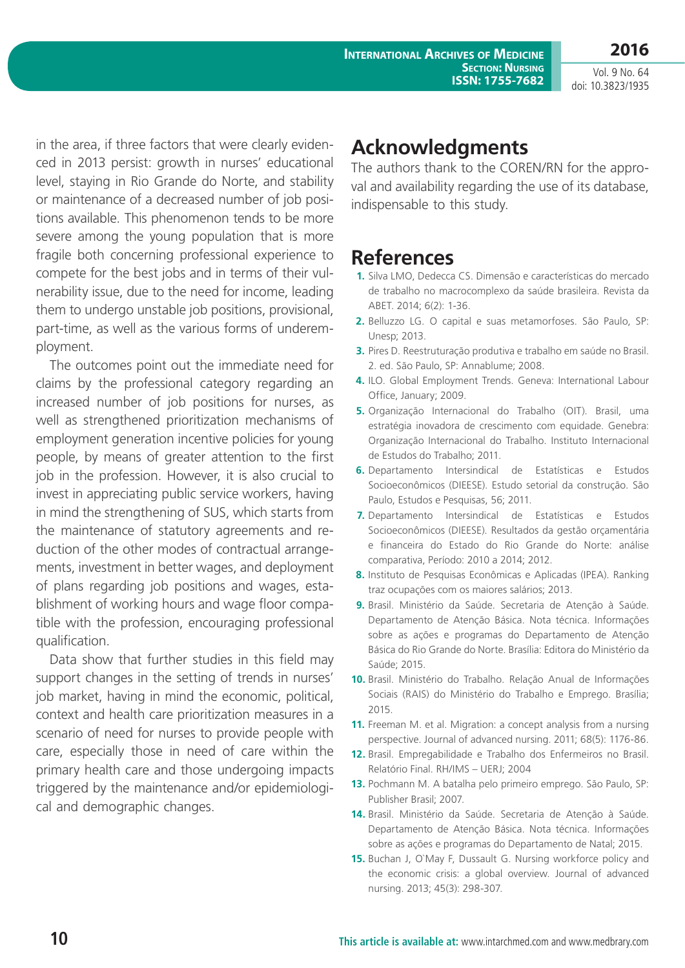**2016**

Vol. 9 No. 64 doi: 10.3823/1935

in the area, if three factors that were clearly evidenced in 2013 persist: growth in nurses' educational level, staying in Rio Grande do Norte, and stability or maintenance of a decreased number of job positions available. This phenomenon tends to be more severe among the young population that is more fragile both concerning professional experience to compete for the best jobs and in terms of their vulnerability issue, due to the need for income, leading them to undergo unstable job positions, provisional, part-time, as well as the various forms of underemployment.

The outcomes point out the immediate need for claims by the professional category regarding an increased number of job positions for nurses, as well as strengthened prioritization mechanisms of employment generation incentive policies for young people, by means of greater attention to the first job in the profession. However, it is also crucial to invest in appreciating public service workers, having in mind the strengthening of SUS, which starts from the maintenance of statutory agreements and reduction of the other modes of contractual arrangements, investment in better wages, and deployment of plans regarding job positions and wages, establishment of working hours and wage floor compatible with the profession, encouraging professional qualification.

Data show that further studies in this field may support changes in the setting of trends in nurses' job market, having in mind the economic, political, context and health care prioritization measures in a scenario of need for nurses to provide people with care, especially those in need of care within the primary health care and those undergoing impacts triggered by the maintenance and/or epidemiological and demographic changes.

### **Acknowledgments**

The authors thank to the COREN/RN for the approval and availability regarding the use of its database, indispensable to this study.

# **References**

- **1.** Silva LMO, Dedecca CS. Dimensão e características do mercado de trabalho no macrocomplexo da saúde brasileira. Revista da ABET. 2014; 6(2): 1-36.
- **2.** Belluzzo LG. O capital e suas metamorfoses. São Paulo, SP: Unesp; 2013.
- **3.** Pires D. Reestruturação produtiva e trabalho em saúde no Brasil. 2. ed. São Paulo, SP: Annablume; 2008.
- **4.** ILO. Global Employment Trends. Geneva: International Labour Office, January; 2009.
- **5.** Organização Internacional do Trabalho (OIT). Brasil, uma estratégia inovadora de crescimento com equidade. Genebra: Organização Internacional do Trabalho. Instituto Internacional de Estudos do Trabalho; 2011.
- **6.** Departamento Intersindical de Estatísticas e Estudos Socioeconômicos (DIEESE). Estudo setorial da construção. São Paulo, Estudos e Pesquisas, 56; 2011.
- **7.** Departamento Intersindical de Estatísticas e Estudos Socioeconômicos (DIEESE). Resultados da gestão orçamentária e financeira do Estado do Rio Grande do Norte: análise comparativa, Período: 2010 a 2014; 2012.
- **8.** Instituto de Pesquisas Econômicas e Aplicadas (IPEA). Ranking traz ocupações com os maiores salários; 2013.
- **9.** Brasil. Ministério da Saúde. Secretaria de Atenção à Saúde. Departamento de Atenção Básica. Nota técnica. Informações sobre as ações e programas do Departamento de Atenção Básica do Rio Grande do Norte. Brasília: Editora do Ministério da Saúde; 2015.
- **10.** Brasil. Ministério do Trabalho. Relação Anual de Informações Sociais (RAIS) do Ministério do Trabalho e Emprego. Brasília; 2015.
- **11.** Freeman M. et al. Migration: a concept analysis from a nursing perspective. Journal of advanced nursing. 2011; 68(5): 1176-86.
- **12.** Brasil. Empregabilidade e Trabalho dos Enfermeiros no Brasil. Relatório Final. RH/IMS – UERJ; 2004
- **13.** Pochmann M. A batalha pelo primeiro emprego. São Paulo, SP: Publisher Brasil; 2007.
- **14.** Brasil. Ministério da Saúde. Secretaria de Atenção à Saúde. Departamento de Atenção Básica. Nota técnica. Informações sobre as ações e programas do Departamento de Natal; 2015.
- **15.** Buchan J, O`May F, Dussault G. Nursing workforce policy and the economic crisis: a global overview. Journal of advanced nursing. 2013; 45(3): 298-307.